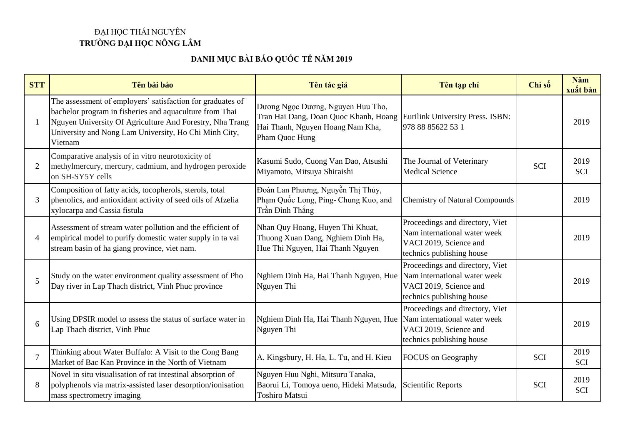## ĐẠI HỌC THÁI NGUYÊN **TRƯỜNG ĐẠI HỌC NÔNG LÂM**

## **DANH MỤC BÀI BÁO QUỐC TẾ NĂM 2019**

| <b>STT</b>     | Tên bài báo                                                                                                                                                                                                                                           | Tên tác giả                                                                                                                                                       | Tên tạp chí                                                                                                            | Chỉ số     | Năm<br>xuất bản    |
|----------------|-------------------------------------------------------------------------------------------------------------------------------------------------------------------------------------------------------------------------------------------------------|-------------------------------------------------------------------------------------------------------------------------------------------------------------------|------------------------------------------------------------------------------------------------------------------------|------------|--------------------|
|                | The assessment of employers' satisfaction for graduates of<br>bachelor program in fisheries and aquaculture from Thai<br>Nguyen University Of Agriculture And Forestry, Nha Trang<br>University and Nong Lam University, Ho Chi Minh City,<br>Vietnam | Dương Ngọc Dương, Nguyen Huu Tho,<br>Tran Hai Dang, Doan Quoc Khanh, Hoang Eurilink University Press. ISBN:<br>Hai Thanh, Nguyen Hoang Nam Kha,<br>Pham Quoc Hung | 978 88 85622 53 1                                                                                                      |            | 2019               |
| $\overline{2}$ | Comparative analysis of in vitro neurotoxicity of<br>methylmercury, mercury, cadmium, and hydrogen peroxide<br>on SH-SY5Y cells                                                                                                                       | Kasumi Sudo, Cuong Van Dao, Atsushi<br>Miyamoto, Mitsuya Shiraishi                                                                                                | The Journal of Veterinary<br><b>Medical Science</b>                                                                    | <b>SCI</b> | 2019<br><b>SCI</b> |
| 3              | Composition of fatty acids, tocopherols, sterols, total<br>phenolics, and antioxidant activity of seed oils of Afzelia<br>xylocarpa and Cassia fistula                                                                                                | Đoàn Lan Phương, Nguyễn Thị Thủy,<br>Phạm Quốc Long, Ping- Chung Kuo, and<br>Trần Đình Thắng                                                                      | <b>Chemistry of Natural Compounds</b>                                                                                  |            | 2019               |
| 4              | Assessment of stream water pollution and the efficient of<br>empirical model to purify domestic water supply in ta vai<br>stream basin of ha giang province, viet nam.                                                                                | Nhan Quy Hoang, Huyen Thi Khuat,<br>Thuong Xuan Dang, Nghiem Dinh Ha,<br>Hue Thi Nguyen, Hai Thanh Nguyen                                                         | Proceedings and directory, Viet<br>Nam international water week<br>VACI 2019, Science and<br>technics publishing house |            | 2019               |
| 5              | Study on the water environment quality assessment of Pho<br>Day river in Lap Thach district, Vinh Phuc province                                                                                                                                       | Nghiem Dinh Ha, Hai Thanh Nguyen, Hue<br>Nguyen Thi                                                                                                               | Proceedings and directory, Viet<br>Nam international water week<br>VACI 2019, Science and<br>technics publishing house |            | 2019               |
| 6              | Using DPSIR model to assess the status of surface water in<br>Lap Thach district, Vinh Phuc                                                                                                                                                           | Nghiem Dinh Ha, Hai Thanh Nguyen, Hue<br>Nguyen Thi                                                                                                               | Proceedings and directory, Viet<br>Nam international water week<br>VACI 2019, Science and<br>technics publishing house |            | 2019               |
|                | Thinking about Water Buffalo: A Visit to the Cong Bang<br>Market of Bac Kan Province in the North of Vietnam                                                                                                                                          | A. Kingsbury, H. Ha, L. Tu, and H. Kieu                                                                                                                           | <b>FOCUS</b> on Geography                                                                                              | <b>SCI</b> | 2019<br><b>SCI</b> |
| 8              | Novel in situ visualisation of rat intestinal absorption of<br>polyphenols via matrix-assisted laser desorption/ionisation<br>mass spectrometry imaging                                                                                               | Nguyen Huu Nghi, Mitsuru Tanaka,<br>Baorui Li, Tomoya ueno, Hideki Matsuda,<br><b>Toshiro Matsui</b>                                                              | <b>Scientific Reports</b>                                                                                              | <b>SCI</b> | 2019<br><b>SCI</b> |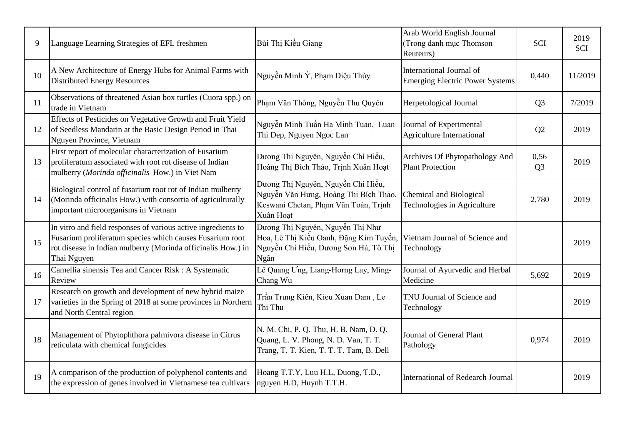| 9  | Language Learning Strategies of EFL freshmen                                                                                                                                                             | Bùi Thị Kiều Giang                                                                                                               | Arab World English Journal<br>(Trong danh mục Thomson<br>Reuteurs) | <b>SCI</b>             | 2019<br><b>SCI</b> |
|----|----------------------------------------------------------------------------------------------------------------------------------------------------------------------------------------------------------|----------------------------------------------------------------------------------------------------------------------------------|--------------------------------------------------------------------|------------------------|--------------------|
| 10 | A New Architecture of Energy Hubs for Animal Farms with<br><b>Distributed Energy Resources</b>                                                                                                           | Nguyễn Minh Ý, Phạm Diệu Thùy                                                                                                    | International Journal of<br><b>Emerging Electric Power Systems</b> | 0,440                  | 11/2019            |
| 11 | Observations of threatened Asian box turtles (Cuora spp.) on<br>trade in Vietnam                                                                                                                         | Phạm Văn Thông, Nguyễn Thu Quyên                                                                                                 | Herpetological Journal                                             | Q <sub>3</sub>         | 7/2019             |
| 12 | Effects of Pesticides on Vegetative Growth and Fruit Yield<br>of Seedless Mandarin at the Basic Design Period in Thai<br>Nguyen Province, Vietnam                                                        | Nguyễn Minh Tuấn Ha Minh Tuan, Luan<br>Thi Dep, Nguyen Ngoc Lan                                                                  | Journal of Experimental<br><b>Agriculture International</b>        | Q2                     | 2019               |
| 13 | First report of molecular characterization of Fusarium<br>proliferatum associated with root rot disease of Indian<br>mulberry (Morinda officinalis How.) in Viet Nam                                     | Dương Thị Nguyên, Nguyễn Chí Hiểu,<br>Hoàng Thị Bích Thảo, Trịnh Xuân Hoạt                                                       | Archives Of Phytopathology And<br><b>Plant Protection</b>          | 0,56<br>Q <sub>3</sub> | 2019               |
| 14 | Biological control of fusarium root rot of Indian mulberry<br>(Morinda officinalis How.) with consortia of agriculturally<br>important microorganisms in Vietnam                                         | Dương Thị Nguyên, Nguyễn Chí Hiểu,<br>Nguyễn Văn Hưng, Hoàng Thị Bích Thảo,<br>Keswani Chetan, Phạm Văn Toản, Trịnh<br>Xuân Hoat | Chemical and Biological<br>Technologies in Agriculture             | 2,780                  | 2019               |
| 15 | In vitro and field responses of various active ingredients to<br>Fusarium proliferatum species which causes Fusarium root<br>rot disease in Indian mulberry (Morinda officinalis How.) in<br>Thai Nguyen | Dương Thị Nguyên, Nguyễn Thị Như<br>Hoa, Lê Thị Kiều Oanh, Đặng Kim Tuyến,<br>Nguyễn Chí Hiểu, Dương Sơn Hà, Tô Thị<br>Ngân      | Vietnam Journal of Science and<br>Technology                       |                        | 2019               |
| 16 | Camellia sinensis Tea and Cancer Risk: A Systematic<br>Review                                                                                                                                            | Lê Quang Ung, Liang-Horng Lay, Ming-<br>Chang Wu                                                                                 | Journal of Ayurvedic and Herbal<br>Medicine                        | 5,692                  | 2019               |
| 17 | Research on growth and development of new hybrid maize<br>varieties in the Spring of 2018 at some provinces in Northern<br>and North Central region                                                      | Trần Trung Kiên, Kieu Xuan Dam, Le<br>Thi Thu                                                                                    | TNU Journal of Science and<br>Technology                           |                        | 2019               |
| 18 | Management of Phytophthora palmivora disease in Citrus<br>reticulata with chemical fungicides                                                                                                            | N. M. Chi, P. Q. Thu, H. B. Nam, D. Q.<br>Quang, L. V. Phong, N. D. Van, T. T.<br>Trang, T. T. Kien, T. T. T. Tam, B. Dell       | Journal of General Plant<br>Pathology                              | 0,974                  | 2019               |
| 19 | A comparison of the production of polyphenol contents and<br>the expression of genes involved in Vietnamese tea cultivars                                                                                | Hoang T.T.Y, Luu H.L, Duong, T.D.,<br>nguyen H.D, Huynh T.T.H.                                                                   | <b>International of Redearch Journal</b>                           |                        | 2019               |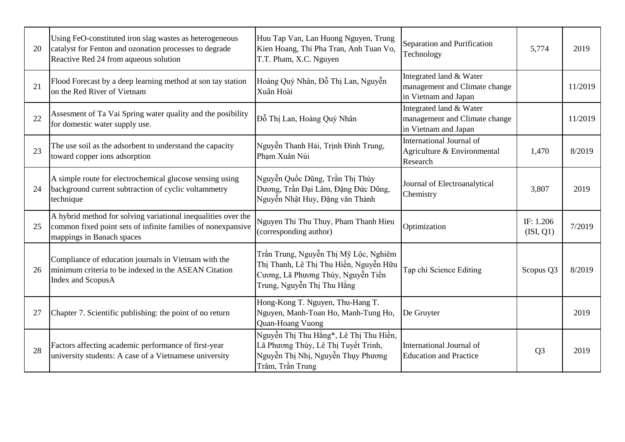| 20 | Using FeO-constituted iron slag wastes as heterogeneous<br>catalyst for Fenton and ozonation processes to degrade<br>Reactive Red 24 from aqueous solution | Huu Tap Van, Lan Huong Nguyen, Trung<br>Kien Hoang, Thi Pha Tran, Anh Tuan Vo,<br>T.T. Pham, X.C. Nguyen                                            | Separation and Purification<br>Technology                                        | 5,774                  | 2019    |
|----|------------------------------------------------------------------------------------------------------------------------------------------------------------|-----------------------------------------------------------------------------------------------------------------------------------------------------|----------------------------------------------------------------------------------|------------------------|---------|
| 21 | Flood Forecast by a deep learning method at son tay station<br>on the Red River of Vietnam                                                                 | Hoàng Quý Nhân, Đỗ Thị Lan, Nguyễn<br>Xuân Hoài                                                                                                     | Integrated land & Water<br>management and Climate change<br>in Vietnam and Japan |                        | 11/2019 |
| 22 | Assesment of Ta Vai Spring water quality and the posibility<br>for domestic water supply use.                                                              | Đỗ Thị Lan, Hoàng Quý Nhân                                                                                                                          | Integrated land & Water<br>management and Climate change<br>in Vietnam and Japan |                        | 11/2019 |
| 23 | The use soil as the adsorbent to understand the capacity<br>toward copper ions adsorption                                                                  | Nguyễn Thanh Hải, Trịnh Đình Trung,<br>Pham Xuân Núi                                                                                                | International Journal of<br>Agriculture & Environmental<br>Research              | 1,470                  | 8/2019  |
| 24 | A simple route for electrochemical glucose sensing using<br>background current subtraction of cyclic voltammetry<br>technique                              | Nguyễn Quốc Dũng, Trần Thị Thùy<br>Dương, Trần Đại Lâm, Đặng Đức Dũng,<br>Nguyễn Nhật Huy, Đặng văn Thành                                           | Journal of Electroanalytical<br>Chemistry                                        | 3,807                  | 2019    |
| 25 | A hybrid method for solving variational inequalities over the<br>common fixed point sets of infinite families of nonexpansive<br>mappings in Banach spaces | Nguyen Thi Thu Thuy, Pham Thanh Hieu<br>(corresponding author)                                                                                      | Optimization                                                                     | IF: 1.206<br>(ISI, Q1) | 7/2019  |
| 26 | Compliance of education journals in Vietnam with the<br>minimum criteria to be indexed in the ASEAN Citation<br><b>Index and ScopusA</b>                   | Trần Trung, Nguyễn Thị Mỹ Lộc, Nghiêm<br>Thị Thanh, Lê Thị Thu Hiền, Nguyễn Hữu<br>Cương, Lã Phương Thúy, Nguyễn Tiến<br>Trung, Nguyễn Thị Thu Hằng | Tạp chí Science Editing                                                          | Scopus Q3              | 8/2019  |
| 27 | Chapter 7. Scientific publishing: the point of no return                                                                                                   | Hong-Kong T. Nguyen, Thu-Hang T.<br>Nguyen, Manh-Toan Ho, Manh-Tung Ho,<br>Quan-Hoang Vuong                                                         | De Gruyter                                                                       |                        | 2019    |
| 28 | Factors affecting academic performance of first-year<br>university students: A case of a Vietnamese university                                             | Nguyễn Thị Thu Hằng*, Lê Thị Thu Hiền,<br>Lã Phương Thúy, Lê Thị Tuyết Trinh,<br>Nguyễn Thị Nhị, Nguyễn Thụy Phương<br>Trâm, Trần Trung             | International Journal of<br><b>Education and Practice</b>                        | Q <sub>3</sub>         | 2019    |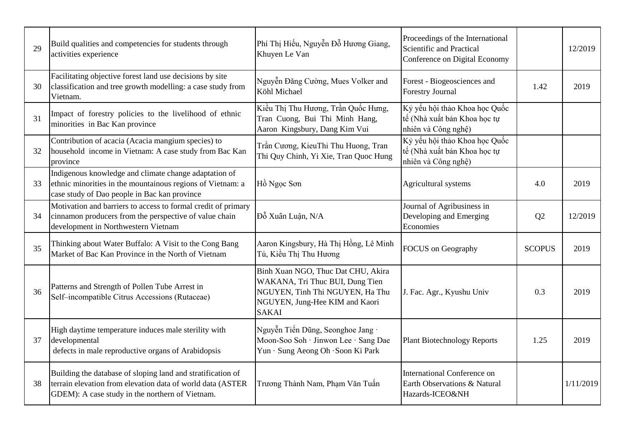| 29 | Build qualities and competencies for students through<br>activities experience                                                                                               | Phí Thị Hiếu, Nguyễn Đỗ Hương Giang,<br>Khuyen Le Van                                                                                                      | Proceedings of the International<br>Scientific and Practical<br>Conference on Digital Economy |               | 12/2019   |
|----|------------------------------------------------------------------------------------------------------------------------------------------------------------------------------|------------------------------------------------------------------------------------------------------------------------------------------------------------|-----------------------------------------------------------------------------------------------|---------------|-----------|
| 30 | Facilitating objective forest land use decisions by site<br>classification and tree growth modelling: a case study from<br>Vietnam.                                          | Nguyễn Đăng Cường, Mues Volker and<br>Köhl Michael                                                                                                         | Forest - Biogeosciences and<br><b>Forestry Journal</b>                                        | 1.42          | 2019      |
| 31 | Impact of forestry policies to the livelihood of ethnic<br>minorities in Bac Kan province                                                                                    | Kiều Thị Thu Hương, Trần Quốc Hưng,<br>Tran Cuong, Bui Thi Minh Hang,<br>Aaron Kingsbury, Dang Kim Vui                                                     | Kỷ yếu hội thảo Khoa học Quốc<br>tế (Nhà xuất bản Khoa học tự<br>nhiên và Công nghệ)          |               |           |
| 32 | Contribution of acacia (Acacia mangium species) to<br>household income in Vietnam: A case study from Bac Kan<br>province                                                     | Trần Cương, KieuThi Thu Huong, Tran<br>Thi Quy Chinh, Yi Xie, Tran Quoc Hung                                                                               | Kỷ yếu hội thảo Khoa học Quốc<br>tế (Nhà xuất bản Khoa học tự<br>nhiên và Công nghệ)          |               |           |
| 33 | Indigenous knowledge and climate change adaptation of<br>ethnic minorities in the mountainous regions of Vietnam: a<br>case study of Dao people in Bac kan province          | Hồ Ngọc Sơn                                                                                                                                                | Agricultural systems                                                                          | 4.0           | 2019      |
| 34 | Motivation and barriers to access to formal credit of primary<br>cinnamon producers from the perspective of value chain<br>development in Northwestern Vietnam               | Đỗ Xuân Luận, N/A                                                                                                                                          | Journal of Agribusiness in<br>Developing and Emerging<br>Economies                            | Q2            | 12/2019   |
| 35 | Thinking about Water Buffalo: A Visit to the Cong Bang<br>Market of Bac Kan Province in the North of Vietnam                                                                 | Aaron Kingsbury, Hà Thị Hồng, Lê Minh<br>Tú, Kiều Thị Thu Hương                                                                                            | <b>FOCUS</b> on Geography                                                                     | <b>SCOPUS</b> | 2019      |
| 36 | Patterns and Strength of Pollen Tube Arrest in<br>Self-incompatible Citrus Accessions (Rutaceae)                                                                             | Binh Xuan NGO, Thuc Dat CHU, Akira<br>WAKANA, Tri Thuc BUI, Dung Tien<br>NGUYEN, Tinh Thi NGUYEN, Ha Thu<br>NGUYEN, Jung-Hee KIM and Kaori<br><b>SAKAI</b> | J. Fac. Agr., Kyushu Univ                                                                     | 0.3           | 2019      |
| 37 | High daytime temperature induces male sterility with<br>developmental<br>defects in male reproductive organs of Arabidopsis                                                  | Nguyễn Tiến Dũng, Seonghoe Jang ·<br>Moon-Soo Soh · Jinwon Lee · Sang Dae<br>Yun · Sung Aeong Oh · Soon Ki Park                                            | <b>Plant Biotechnology Reports</b>                                                            | 1.25          | 2019      |
| 38 | Building the database of sloping land and stratification of<br>terrain elevation from elevation data of world data (ASTER<br>GDEM): A case study in the northern of Vietnam. | Trương Thành Nam, Phạm Văn Tuấn                                                                                                                            | <b>International Conference on</b><br>Earth Observations & Natural<br>Hazards-ICEO&NH         |               | 1/11/2019 |